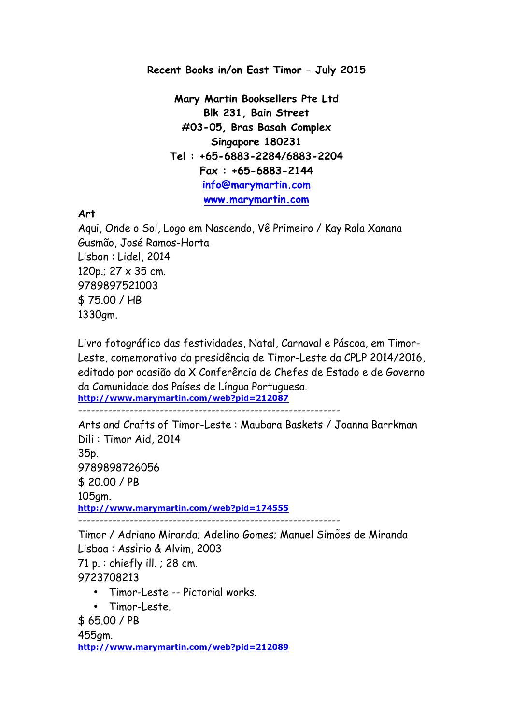**Recent Books in/on East Timor – July 2015**

**Mary Martin Booksellers Pte Ltd Blk 231, Bain Street #03-05, Bras Basah Complex Singapore 180231 Tel : +65-6883-2284/6883-2204 Fax : +65-6883-2144 info@marymartin.com www.marymartin.com**

**Art**

Aqui, Onde o Sol, Logo em Nascendo, Vê Primeiro / Kay Rala Xanana Gusmão, José Ramos-Horta Lisbon : Lidel, 2014 120p.; 27 x 35 cm. 9789897521003 \$ 75.00 / HB 1330gm.

Livro fotográfico das festividades, Natal, Carnaval e Páscoa, em Timor-Leste, comemorativo da presidência de Timor-Leste da CPLP 2014/2016, editado por ocasião da X Conferência de Chefes de Estado e de Governo da Comunidade dos Países de Língua Portuguesa. **http://www.marymartin.com/web?pid=212087**

-------------------------------------------------------------

Arts and Crafts of Timor-Leste : Maubara Baskets / Joanna Barrkman Dili : Timor Aid, 2014 35p. 9789898726056 \$ 20.00 / PB 105gm. **http://www.marymartin.com/web?pid=174555** -------------------------------------------------------------

Timor / Adriano Miranda; Adelino Gomes; Manuel Simões de Miranda Lisboa : Assírio & Alvim, 2003 71 p. : chiefly ill. ; 28 cm. 9723708213 • Timor-Leste -- Pictorial works.

• Timor-Leste.

\$ 65.00 / PB

455gm. **http://www.marymartin.com/web?pid=212089**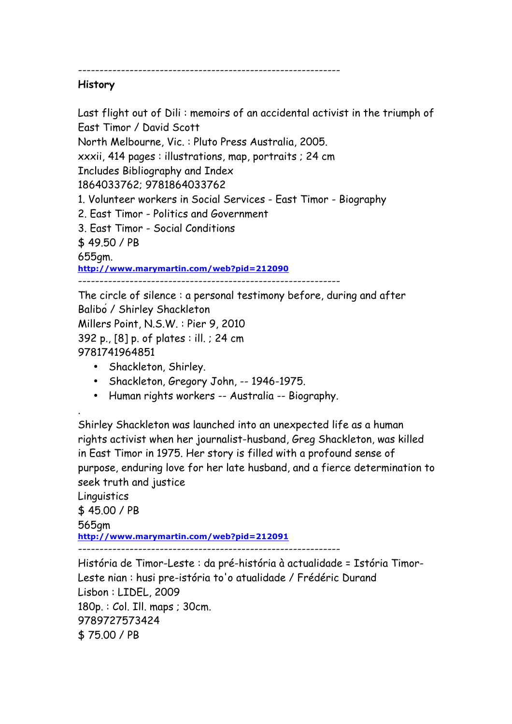-------------------------------------------------------------

## **History**

Last flight out of Dili : memoirs of an accidental activist in the triumph of East Timor / David Scott

North Melbourne, Vic. : Pluto Press Australia, 2005.

xxxii, 414 pages : illustrations, map, portraits ; 24 cm

Includes Bibliography and Index

1864033762; 9781864033762

- 1. Volunteer workers in Social Services East Timor Biography
- 2. East Timor Politics and Government
- 3. East Timor Social Conditions

\$ 49.50 / PB

655gm.

.

**http://www.marymartin.com/web?pid=212090**

-------------------------------------------------------------

The circle of silence : a personal testimony before, during and after Balibó / Shirley Shackleton Millers Point, N.S.W. : Pier 9, 2010 392 p., [8] p. of plates : ill. ; 24 cm 9781741964851

- Shackleton, Shirley.
- Shackleton, Gregory John, -- 1946-1975.
- Human rights workers -- Australia -- Biography.

Shirley Shackleton was launched into an unexpected life as a human rights activist when her journalist-husband, Greg Shackleton, was killed in East Timor in 1975. Her story is filled with a profound sense of purpose, enduring love for her late husband, and a fierce determination to seek truth and justice

Linguistics \$ 45.00 / PB 565gm **http://www.marymartin.com/web?pid=212091** -------------------------------------------------------------

História de Timor-Leste : da pré-história à actualidade = Istória Timor-Leste nian : husi pre-istória to'o atualidade / Frédéric Durand Lisbon : LIDEL, 2009 180p. : Col. Ill. maps ; 30cm. 9789727573424 \$ 75.00 / PB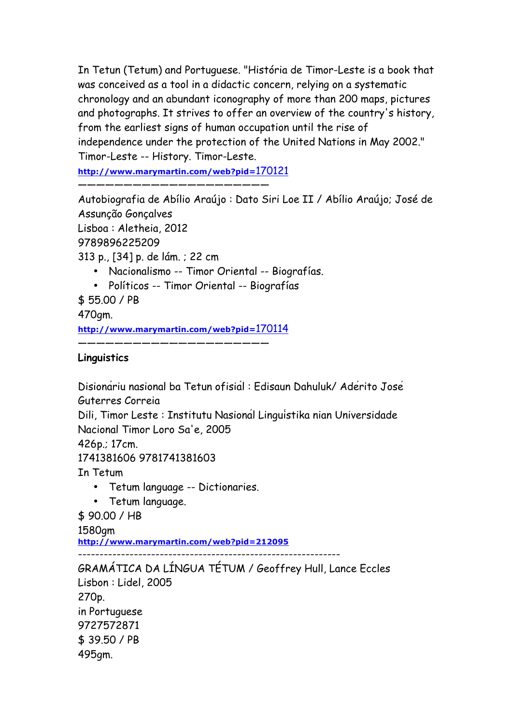In Tetun (Tetum) and Portuguese. "História de Timor-Leste is a book that was conceived as a tool in a didactic concern, relying on a systematic chronology and an abundant iconography of more than 200 maps, pictures and photographs. It strives to offer an overview of the country's history, from the earliest signs of human occupation until the rise of independence under the protection of the United Nations in May 2002." Timor-Leste -- History. Timor-Leste.

**http://www.marymartin.com/web?pid=**170121

—————————————————————

Autobiografia de Abílio Araújo : Dato Siri Loe II / Abílio Araújo; José de Assunção Gonçalves

Lisboa : Aletheia, 2012

9789896225209

313 p., [34] p. de lám. ; 22 cm

- Nacionalismo -- Timor Oriental -- Biografías.
- Políticos -- Timor Oriental -- Biografías
- \$ 55.00 / PB

470gm.

**http://www.marymartin.com/web?pid=**170114

—————————————————————

## **Linguistics**

Disionáriu nasional ba Tetun ofisiál : Edisaun Dahuluk/ Adérito José Guterres Correia

Dili, Timor Leste : Institutu Nasionál Linguístika nian Universidade Nacional Timor Loro Sa'e, 2005

426p.; 17cm.

1741381606 9781741381603

In Tetum

- Tetum language -- Dictionaries.
- Tetum language.

\$ 90.00 / HB

1580gm

**http://www.marymartin.com/web?pid=212095**

-------------------------------------------------------------

GRAMÁTICA DA LÍNGUA TÉTUM / Geoffrey Hull, Lance Eccles Lisbon : Lidel, 2005 270p. in Portuguese 9727572871 \$ 39.50 / PB 495gm.